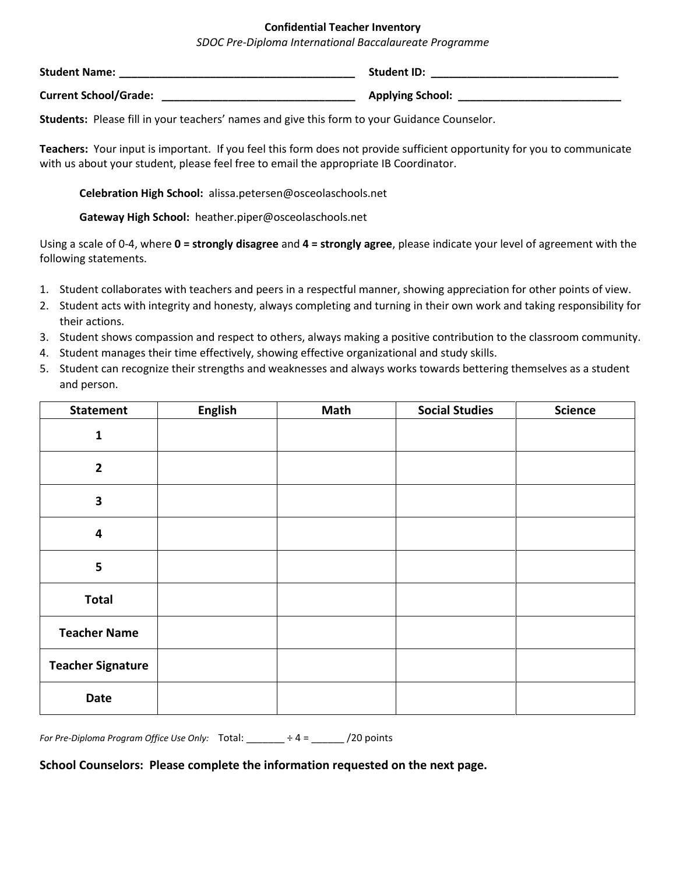## **Confidential Teacher Inventory**

*SDOC Pre-Diploma International Baccalaureate Programme*

| <b>Student Name:</b>         | <b>Student ID:</b>      |
|------------------------------|-------------------------|
| <b>Current School/Grade:</b> | <b>Applying School:</b> |

**Students:** Please fill in your teachers' names and give this form to your Guidance Counselor.

**Teachers:** Your input is important. If you feel this form does not provide sufficient opportunity for you to communicate with us about your student, please feel free to email the appropriate IB Coordinator.

**Celebration High School:** alissa.petersen@osceolaschools.net

**Gateway High School:** heather.piper@osceolaschools.net

Using a scale of 0-4, where **0 = strongly disagree** and **4 = strongly agree**, please indicate your level of agreement with the following statements.

- 1. Student collaborates with teachers and peers in a respectful manner, showing appreciation for other points of view.
- 2. Student acts with integrity and honesty, always completing and turning in their own work and taking responsibility for their actions.
- 3. Student shows compassion and respect to others, always making a positive contribution to the classroom community.
- 4. Student manages their time effectively, showing effective organizational and study skills.
- 5. Student can recognize their strengths and weaknesses and always works towards bettering themselves as a student and person.

| <b>Statement</b>         | <b>English</b> | Math | <b>Social Studies</b> | <b>Science</b> |
|--------------------------|----------------|------|-----------------------|----------------|
| $\mathbf{1}$             |                |      |                       |                |
| $\mathbf{2}$             |                |      |                       |                |
| $\overline{\mathbf{3}}$  |                |      |                       |                |
| $\overline{\mathbf{4}}$  |                |      |                       |                |
| 5                        |                |      |                       |                |
| <b>Total</b>             |                |      |                       |                |
| <b>Teacher Name</b>      |                |      |                       |                |
| <b>Teacher Signature</b> |                |      |                       |                |
| Date                     |                |      |                       |                |

*For Pre-Diploma Program Office Use Only:* Total: \_\_\_\_\_\_\_ ÷ 4 = \_\_\_\_\_\_ /20 points

**School Counselors: Please complete the information requested on the next page.**